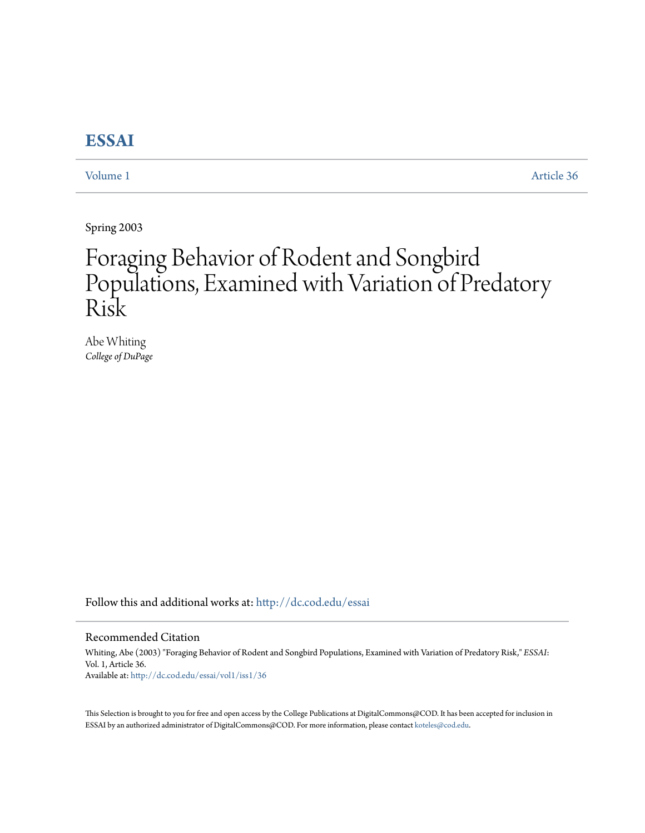# **[ESSAI](http://dc.cod.edu/essai?utm_source=dc.cod.edu%2Fessai%2Fvol1%2Fiss1%2F36&utm_medium=PDF&utm_campaign=PDFCoverPages)**

[Volume 1](http://dc.cod.edu/essai/vol1?utm_source=dc.cod.edu%2Fessai%2Fvol1%2Fiss1%2F36&utm_medium=PDF&utm_campaign=PDFCoverPages) [Article 36](http://dc.cod.edu/essai/vol1/iss1/36?utm_source=dc.cod.edu%2Fessai%2Fvol1%2Fiss1%2F36&utm_medium=PDF&utm_campaign=PDFCoverPages)

Spring 2003

# Foraging Behavior of Rodent and Songbird Populations, Examined with Variation of Predatory Risk

Abe Whiting *College of DuPage*

Follow this and additional works at: [http://dc.cod.edu/essai](http://dc.cod.edu/essai?utm_source=dc.cod.edu%2Fessai%2Fvol1%2Fiss1%2F36&utm_medium=PDF&utm_campaign=PDFCoverPages)

#### Recommended Citation

Whiting, Abe (2003) "Foraging Behavior of Rodent and Songbird Populations, Examined with Variation of Predatory Risk," *ESSAI*: Vol. 1, Article 36. Available at: [http://dc.cod.edu/essai/vol1/iss1/36](http://dc.cod.edu/essai/vol1/iss1/36?utm_source=dc.cod.edu%2Fessai%2Fvol1%2Fiss1%2F36&utm_medium=PDF&utm_campaign=PDFCoverPages)

This Selection is brought to you for free and open access by the College Publications at DigitalCommons@COD. It has been accepted for inclusion in ESSAI by an authorized administrator of DigitalCommons@COD. For more information, please contact [koteles@cod.edu](mailto:koteles@cod.edu).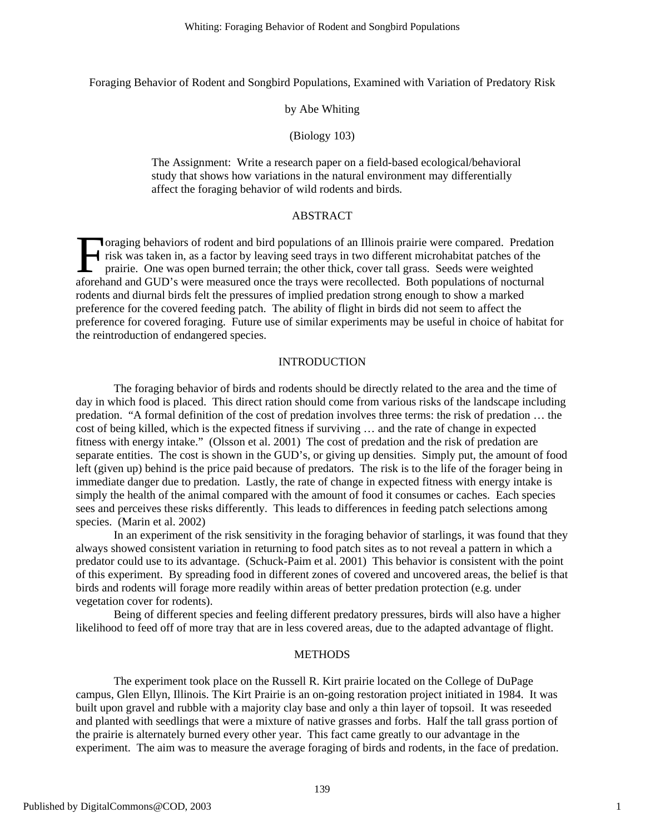Foraging Behavior of Rodent and Songbird Populations, Examined with Variation of Predatory Risk

#### by Abe Whiting

#### (Biology 103)

The Assignment: Write a research paper on a field-based ecological/behavioral study that shows how variations in the natural environment may differentially affect the foraging behavior of wild rodents and birds.

# ABSTRACT

**V**oraging behaviors of rodent and bird populations of an Illinois prairie were compared. Predation risk was taken in, as a factor by leaving seed trays in two different microhabitat patches of the prairie. One was open burned terrain; the other thick, cover tall grass. Seeds were weighted oraging behaviors of rodent and bird populations of an Illinois prairie were compared. Predation risk was taken in, as a factor by leaving seed trays in two different microhabitat patches of the prairie. One was open burne rodents and diurnal birds felt the pressures of implied predation strong enough to show a marked preference for the covered feeding patch. The ability of flight in birds did not seem to affect the preference for covered foraging. Future use of similar experiments may be useful in choice of habitat for the reintroduction of endangered species.

#### INTRODUCTION

The foraging behavior of birds and rodents should be directly related to the area and the time of day in which food is placed. This direct ration should come from various risks of the landscape including predation. "A formal definition of the cost of predation involves three terms: the risk of predation … the cost of being killed, which is the expected fitness if surviving … and the rate of change in expected fitness with energy intake." (Olsson et al. 2001) The cost of predation and the risk of predation are separate entities. The cost is shown in the GUD's, or giving up densities. Simply put, the amount of food left (given up) behind is the price paid because of predators. The risk is to the life of the forager being in immediate danger due to predation. Lastly, the rate of change in expected fitness with energy intake is simply the health of the animal compared with the amount of food it consumes or caches. Each species sees and perceives these risks differently. This leads to differences in feeding patch selections among species. (Marin et al. 2002)

In an experiment of the risk sensitivity in the foraging behavior of starlings, it was found that they always showed consistent variation in returning to food patch sites as to not reveal a pattern in which a predator could use to its advantage. (Schuck-Paim et al. 2001) This behavior is consistent with the point of this experiment. By spreading food in different zones of covered and uncovered areas, the belief is that birds and rodents will forage more readily within areas of better predation protection (e.g. under vegetation cover for rodents).

Being of different species and feeling different predatory pressures, birds will also have a higher likelihood to feed off of more tray that are in less covered areas, due to the adapted advantage of flight.

#### METHODS

The experiment took place on the Russell R. Kirt prairie located on the College of DuPage campus, Glen Ellyn, Illinois. The Kirt Prairie is an on-going restoration project initiated in 1984. It was built upon gravel and rubble with a majority clay base and only a thin layer of topsoil. It was reseeded and planted with seedlings that were a mixture of native grasses and forbs. Half the tall grass portion of the prairie is alternately burned every other year. This fact came greatly to our advantage in the experiment. The aim was to measure the average foraging of birds and rodents, in the face of predation.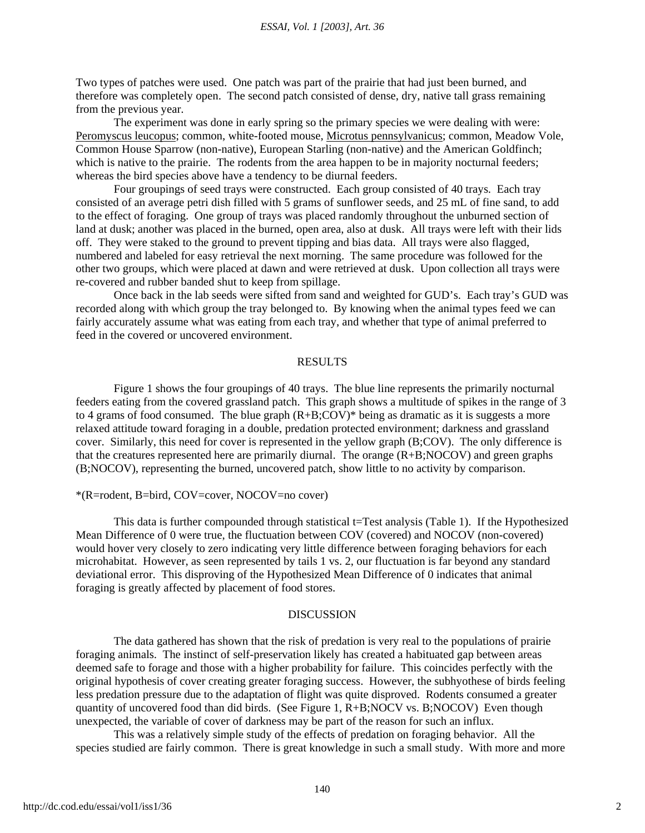Two types of patches were used. One patch was part of the prairie that had just been burned, and therefore was completely open. The second patch consisted of dense, dry, native tall grass remaining from the previous year.

The experiment was done in early spring so the primary species we were dealing with were: Peromyscus leucopus; common, white-footed mouse, Microtus pennsylvanicus; common, Meadow Vole, Common House Sparrow (non-native), European Starling (non-native) and the American Goldfinch; which is native to the prairie. The rodents from the area happen to be in majority nocturnal feeders; whereas the bird species above have a tendency to be diurnal feeders.

Four groupings of seed trays were constructed. Each group consisted of 40 trays. Each tray consisted of an average petri dish filled with 5 grams of sunflower seeds, and 25 mL of fine sand, to add to the effect of foraging. One group of trays was placed randomly throughout the unburned section of land at dusk; another was placed in the burned, open area, also at dusk. All trays were left with their lids off. They were staked to the ground to prevent tipping and bias data. All trays were also flagged, numbered and labeled for easy retrieval the next morning. The same procedure was followed for the other two groups, which were placed at dawn and were retrieved at dusk. Upon collection all trays were re-covered and rubber banded shut to keep from spillage.

Once back in the lab seeds were sifted from sand and weighted for GUD's. Each tray's GUD was recorded along with which group the tray belonged to. By knowing when the animal types feed we can fairly accurately assume what was eating from each tray, and whether that type of animal preferred to feed in the covered or uncovered environment.

#### RESULTS

Figure 1 shows the four groupings of 40 trays. The blue line represents the primarily nocturnal feeders eating from the covered grassland patch. This graph shows a multitude of spikes in the range of 3 to 4 grams of food consumed. The blue graph (R+B;COV)\* being as dramatic as it is suggests a more relaxed attitude toward foraging in a double, predation protected environment; darkness and grassland cover. Similarly, this need for cover is represented in the yellow graph (B;COV). The only difference is that the creatures represented here are primarily diurnal. The orange (R+B;NOCOV) and green graphs (B;NOCOV), representing the burned, uncovered patch, show little to no activity by comparison.

#### \*(R=rodent, B=bird, COV=cover, NOCOV=no cover)

This data is further compounded through statistical t=Test analysis (Table 1). If the Hypothesized Mean Difference of 0 were true, the fluctuation between COV (covered) and NOCOV (non-covered) would hover very closely to zero indicating very little difference between foraging behaviors for each microhabitat. However, as seen represented by tails 1 vs. 2, our fluctuation is far beyond any standard deviational error. This disproving of the Hypothesized Mean Difference of 0 indicates that animal foraging is greatly affected by placement of food stores.

### DISCUSSION

The data gathered has shown that the risk of predation is very real to the populations of prairie foraging animals. The instinct of self-preservation likely has created a habituated gap between areas deemed safe to forage and those with a higher probability for failure. This coincides perfectly with the original hypothesis of cover creating greater foraging success. However, the subhyothese of birds feeling less predation pressure due to the adaptation of flight was quite disproved. Rodents consumed a greater quantity of uncovered food than did birds. (See Figure 1, R+B;NOCV vs. B;NOCOV) Even though unexpected, the variable of cover of darkness may be part of the reason for such an influx.

This was a relatively simple study of the effects of predation on foraging behavior. All the species studied are fairly common. There is great knowledge in such a small study. With more and more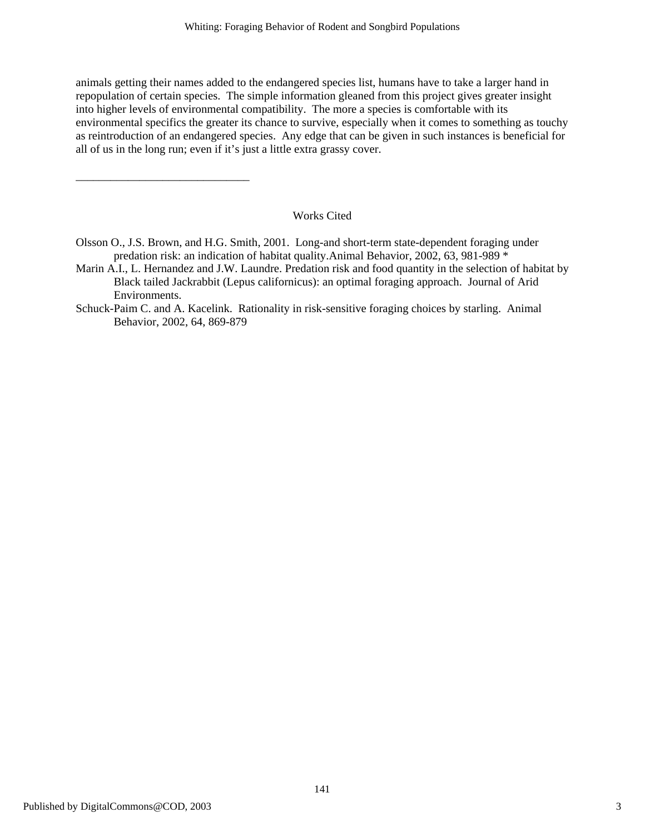animals getting their names added to the endangered species list, humans have to take a larger hand in repopulation of certain species. The simple information gleaned from this project gives greater insight into higher levels of environmental compatibility. The more a species is comfortable with its environmental specifics the greater its chance to survive, especially when it comes to something as touchy as reintroduction of an endangered species. Any edge that can be given in such instances is beneficial for all of us in the long run; even if it's just a little extra grassy cover.

## Works Cited

Olsson O., J.S. Brown, and H.G. Smith, 2001. Long-and short-term state-dependent foraging under predation risk: an indication of habitat quality.Animal Behavior, 2002, 63, 981-989 \*

\_\_\_\_\_\_\_\_\_\_\_\_\_\_\_\_\_\_\_\_\_\_\_\_\_\_\_\_\_\_

- Marin A.I., L. Hernandez and J.W. Laundre. Predation risk and food quantity in the selection of habitat by Black tailed Jackrabbit (Lepus californicus): an optimal foraging approach. Journal of Arid Environments.
- Schuck-Paim C. and A. Kacelink. Rationality in risk-sensitive foraging choices by starling. Animal Behavior, 2002, 64, 869-879